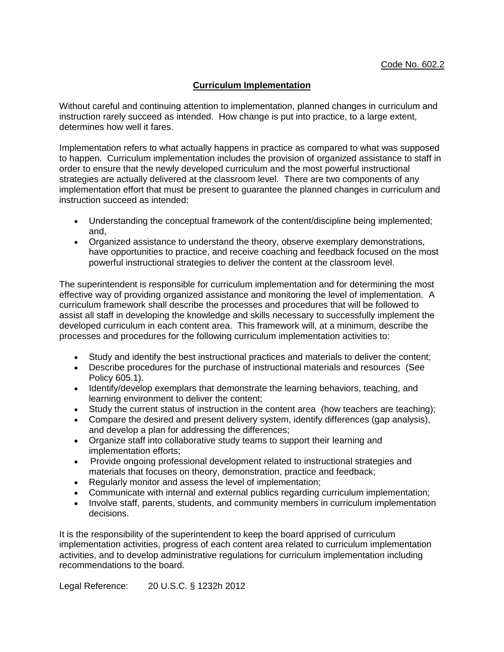## **Curriculum Implementation**

Without careful and continuing attention to implementation, planned changes in curriculum and instruction rarely succeed as intended. How change is put into practice, to a large extent, determines how well it fares.

Implementation refers to what actually happens in practice as compared to what was supposed to happen. Curriculum implementation includes the provision of organized assistance to staff in order to ensure that the newly developed curriculum and the most powerful instructional strategies are actually delivered at the classroom level. There are two components of any implementation effort that must be present to guarantee the planned changes in curriculum and instruction succeed as intended:

- Understanding the conceptual framework of the content/discipline being implemented; and,
- Organized assistance to understand the theory, observe exemplary demonstrations, have opportunities to practice, and receive coaching and feedback focused on the most powerful instructional strategies to deliver the content at the classroom level.

The superintendent is responsible for curriculum implementation and for determining the most effective way of providing organized assistance and monitoring the level of implementation. A curriculum framework shall describe the processes and procedures that will be followed to assist all staff in developing the knowledge and skills necessary to successfully implement the developed curriculum in each content area. This framework will, at a minimum, describe the processes and procedures for the following curriculum implementation activities to:

- Study and identify the best instructional practices and materials to deliver the content;
- Describe procedures for the purchase of instructional materials and resources (See Policy 605.1).
- Identify/develop exemplars that demonstrate the learning behaviors, teaching, and learning environment to deliver the content;
- Study the current status of instruction in the content area (how teachers are teaching);
- Compare the desired and present delivery system, identify differences (gap analysis), and develop a plan for addressing the differences;
- Organize staff into collaborative study teams to support their learning and implementation efforts;
- Provide ongoing professional development related to instructional strategies and materials that focuses on theory, demonstration, practice and feedback;
- Regularly monitor and assess the level of implementation:
- Communicate with internal and external publics regarding curriculum implementation;
- Involve staff, parents, students, and community members in curriculum implementation decisions.

It is the responsibility of the superintendent to keep the board apprised of curriculum implementation activities, progress of each content area related to curriculum implementation activities, and to develop administrative regulations for curriculum implementation including recommendations to the board.

Legal Reference: 20 U.S.C. § 1232h 2012